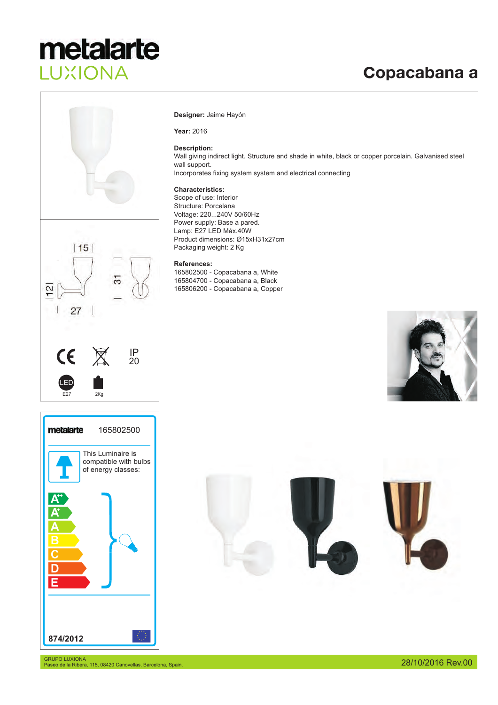### Copacabana a





### **Designer:** Jaime Hayón

**Year:** 2016

### **Description:**

Wall giving indirect light. Structure and shade in white, black or copper porcelain. Galvanised steel wall support. Incorporates fixing system system and electrical connecting

### **Characteristics:**

Scope of use: Interior Structure: Porcelana Voltage: 220...240V 50/60Hz Power supply: Base a pared. Lamp: E27 LED Máx.40W Product dimensions: Ø15xH31x27cm Packaging weight: 2 Kg

### **References:**

165802500 - Copacabana a, White 165804700 - Copacabana a, Black 165806200 - Copacabana a, Copper



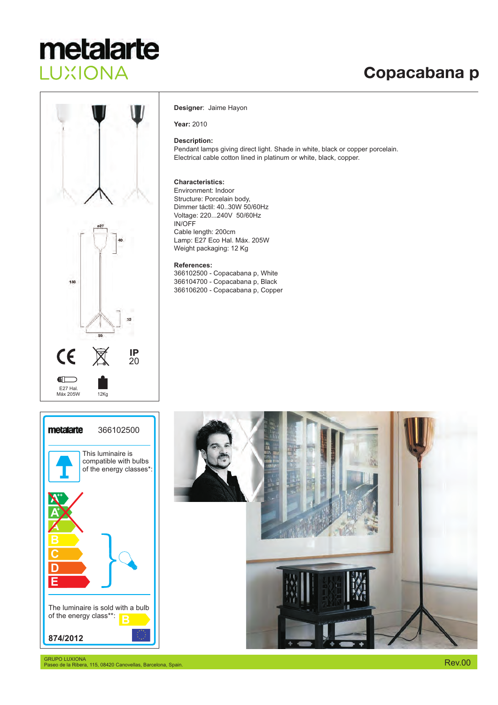### Copacabana p



### **Designer** : Jaime Hayon

**Year:** 2010

### **Description:**

Pendant lamps giving direct light. Shade in white, black or copper porcelain. Electrical cable cotton lined in platinum or white, black, copper.

### **Characteristics:**

Dimmer táctil: 40..30W 50/60Hz IN/OFF Environment: Indoor Structure: Porcelain body, Voltage: 220...240V 50/60Hz Cable length: 200cm Weight packaging : 12 Kg Lamp: E27 Eco Hal. Máx. 205W

#### **References:**

366102500 - Copacabana p, White 366104700 - Copacabana p, Black 366106200 - Copacabana p, Copper





GRUPO LUXIONA Paseo de la Ribera, 115, 08420 Canovellas, Barcelona, Spain.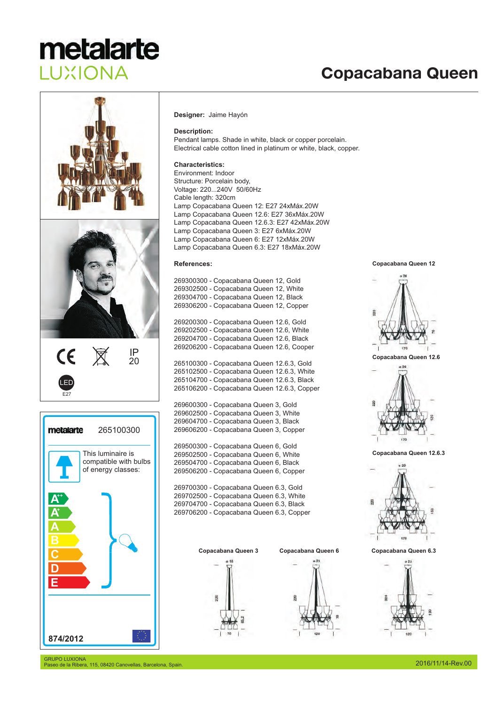### Copacabana Queen



### 20  $\sum_{\alpha\beta}$ LED



#### **Designer:** Jaime Hayón

### **Description:**

Pendant lamps. Shade in white, black or copper porcelain. Electrical cable cotton lined in platinum or white, black, copper.

### **Characteristics:**

Cable length: 320cm Lamp Copacabana Queen 12: E27 24xMáx.20W Lamp Copacabana Queen 12.6: E27 36xMáx.20W Lamp Copacabana Queen 12.6.3: E27 42xMáx.20W Lamp Copacabana Queen 3: E27 6xMáx.20W Lamp Copacabana Queen 6: E27 12xMáx.20W Lamp Copacabana Queen 6.3: E27 18xMáx.20W Environment: Indoor Structure: Porcelain body, Voltage: 220...240V 50/60Hz

### **References:**

269300300 - Copacabana Queen 12, Gold 269302500 - Copacabana Queen 12, White 269304700 - Copacabana Queen 12, Black 269306200 - Copacabana Queen 12, Copper

269200300 - Copacabana Queen 12.6, Gold 269202500 - Copacabana Queen 12.6, White 269204700 - Copacabana Queen 12.6, Black 269206200 - Copacabana Queen 12.6, Cooper

265100300 - Copacabana Queen 12.6.3, Gold 265102500 - Copacabana Queen 12.6.3, White 265104700 - Copacabana Queen 12.6.3, Black 265106200 - Copacabana Queen 12.6.3, Copper

269600300 - Copacabana Queen 3, Gold 269602500 - Copacabana Queen 3, White 269604700 - Copacabana Queen 3, Black 269606200 - Copacabana Queen 3, Copper

269500300 - Copacabana Queen 6, Gold 269502500 - Copacabana Queen 6, White 269504700 - Copacabana Queen 6, Black 269506200 - Copacabana Queen 6, Copper

269700300 - Copacabana Queen 6.3, Gold 269702500 - Copacabana Queen 6.3, White 269704700 - Copacabana Queen 6.3, Black 269706200 - Copacabana Queen 6.3, Copper

R





**Copacabana Queen 12**



**Copacabana Queen 12.6**



**Copacabana Queen 12.6.3**





GRUPO LUXIONA Paseo de la Ribera, 115, 08420 Canovellas, Barcelona, Spain.